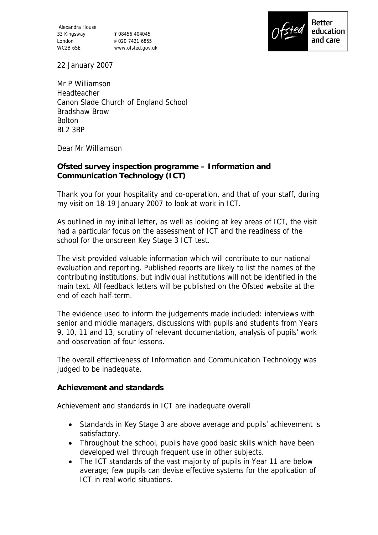Alexandra House 33 Kingsway London WC2B 6SE

**T** 08456 404045 **F** 020 7421 6855 www.ofsted.gov.uk



22 January 2007

Mr P Williamson Headteacher Canon Slade Church of England School Bradshaw Brow Bolton BL2 3BP

Dear Mr Williamson

**Ofsted survey inspection programme – Information and Communication Technology (ICT)**

Thank you for your hospitality and co-operation, and that of your staff, during my visit on 18-19 January 2007 to look at work in ICT.

As outlined in my initial letter, as well as looking at key areas of ICT, the visit had a particular focus on the assessment of ICT and the readiness of the school for the onscreen Key Stage 3 ICT test.

The visit provided valuable information which will contribute to our national evaluation and reporting. Published reports are likely to list the names of the contributing institutions, but individual institutions will not be identified in the main text. All feedback letters will be published on the Ofsted website at the end of each half-term.

The evidence used to inform the judgements made included: interviews with senior and middle managers, discussions with pupils and students from Years 9, 10, 11 and 13, scrutiny of relevant documentation, analysis of pupils' work and observation of four lessons.

The overall effectiveness of Information and Communication Technology was judged to be inadequate.

**Achievement and standards**

Achievement and standards in ICT are inadequate overall

- Standards in Key Stage 3 are above average and pupils' achievement is satisfactory.
- Throughout the school, pupils have good basic skills which have been developed well through frequent use in other subjects.
- The ICT standards of the vast majority of pupils in Year 11 are below average; few pupils can devise effective systems for the application of ICT in real world situations.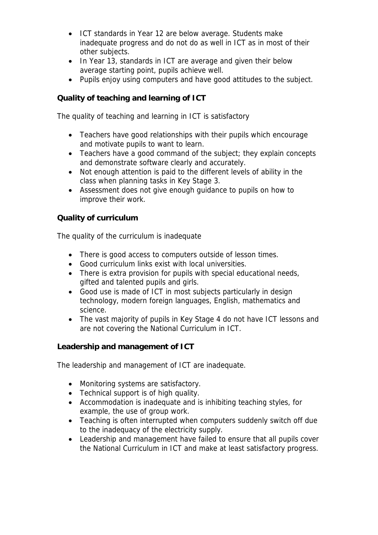- ICT standards in Year 12 are below average. Students make inadequate progress and do not do as well in ICT as in most of their other subjects.
- In Year 13, standards in ICT are average and given their below average starting point, pupils achieve well.
- Pupils enjoy using computers and have good attitudes to the subject.

**Quality of teaching and learning of ICT**

The quality of teaching and learning in ICT is satisfactory

- Teachers have good relationships with their pupils which encourage and motivate pupils to want to learn.
- Teachers have a good command of the subject; they explain concepts and demonstrate software clearly and accurately.
- Not enough attention is paid to the different levels of ability in the class when planning tasks in Key Stage 3.
- Assessment does not give enough guidance to pupils on how to improve their work.

## **Quality of curriculum**

The quality of the curriculum is inadequate

- There is good access to computers outside of lesson times.
- Good curriculum links exist with local universities.
- There is extra provision for pupils with special educational needs, gifted and talented pupils and girls.
- Good use is made of ICT in most subjects particularly in design technology, modern foreign languages, English, mathematics and science.
- The vast majority of pupils in Key Stage 4 do not have ICT lessons and are not covering the National Curriculum in ICT.

**Leadership and management of ICT**

The leadership and management of ICT are inadequate.

- Monitoring systems are satisfactory.
- Technical support is of high quality.
- Accommodation is inadequate and is inhibiting teaching styles, for example, the use of group work.
- Teaching is often interrupted when computers suddenly switch off due to the inadequacy of the electricity supply.
- Leadership and management have failed to ensure that all pupils cover the National Curriculum in ICT and make at least satisfactory progress.